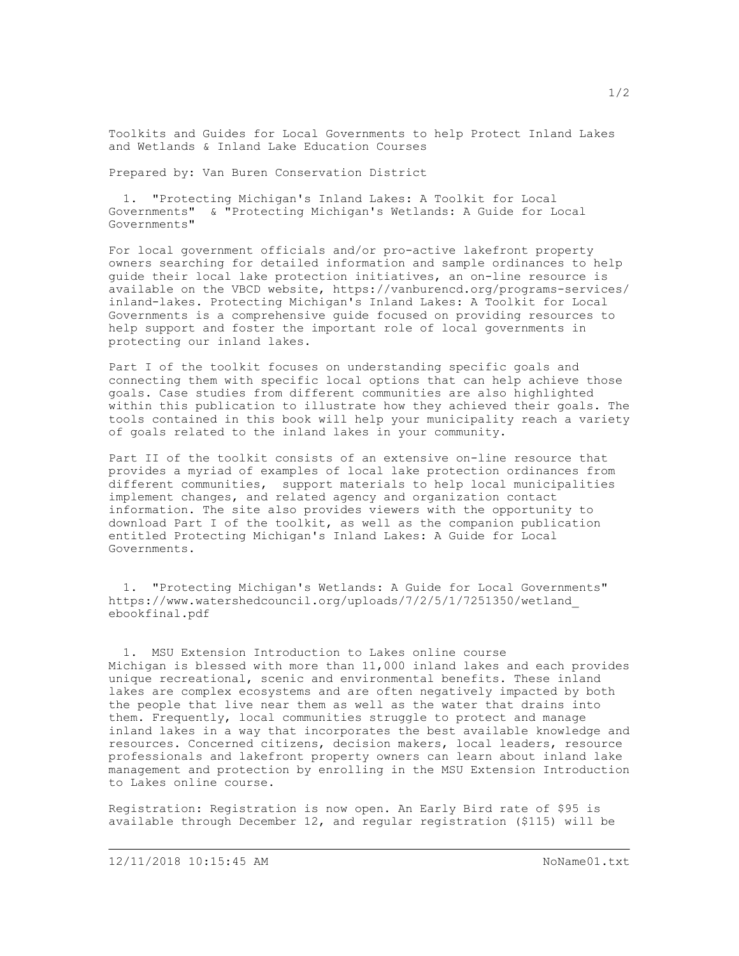Toolkits and Guides for Local Governments to help Protect Inland Lakes and Wetlands & Inland Lake Education Courses

Prepared by: Van Buren Conservation District

 1. "Protecting Michigan's Inland Lakes: A Toolkit for Local Governments" & "Protecting Michigan's Wetlands: A Guide for Local Governments"

For local government officials and/or pro-active lakefront property owners searching for detailed information and sample ordinances to help guide their local lake protection initiatives, an on-line resource is available on the VBCD website, <https://vanburencd.org/programs-services/> inland-lakes. Protecting Michigan's Inland Lakes: A Toolkit for Local Governments is a comprehensive guide focused on providing resources to help support and foster the important role of local governments in protecting our inland lakes.

Part I of the toolkit focuses on understanding specific goals and connecting them with specific local options that can help achieve those goals. Case studies from different communities are also highlighted within this publication to illustrate how they achieved their goals. The tools contained in this book will help your municipality reach a variety of goals related to the inland lakes in your community.

Part II of the toolkit consists of an extensive on-line resource that provides a myriad of examples of local lake protection ordinances from different communities, support materials to help local municipalities implement changes, and related agency and organization contact information. The site also provides viewers with the opportunity to download Part I of the toolkit, as well as the companion publication entitled Protecting Michigan's Inland Lakes: A Guide for Local Governments.

 1. "Protecting Michigan's Wetlands: A Guide for Local Governments" [https://www.watershedcouncil.org/uploads/7/2/5/1/7251350/wetland\\_](https://www.watershedcouncil.org/uploads/7/2/5/1/7251350/wetland_ebookfinal.pdf1.MSUExtensionIntroductiontoLakesonlinecourseMichiganisblessedwithmorethan11,000inlandlakesandeachprovidesuniquerecreational) [ebookfinal.pdf](https://www.watershedcouncil.org/uploads/7/2/5/1/7251350/wetland_ebookfinal.pdf1.MSUExtensionIntroductiontoLakesonlinecourseMichiganisblessedwithmorethan11,000inlandlakesandeachprovidesuniquerecreational)

 [1. MSU Extension Introduction to Lakes online course](https://www.watershedcouncil.org/uploads/7/2/5/1/7251350/wetland_ebookfinal.pdf1.MSUExtensionIntroductiontoLakesonlinecourseMichiganisblessedwithmorethan11,000inlandlakesandeachprovidesuniquerecreational) [Michigan is blessed with more than 11,000 inland lakes and each provides](https://www.watershedcouncil.org/uploads/7/2/5/1/7251350/wetland_ebookfinal.pdf1.MSUExtensionIntroductiontoLakesonlinecourseMichiganisblessedwithmorethan11,000inlandlakesandeachprovidesuniquerecreational)  [unique recreational, s](https://www.watershedcouncil.org/uploads/7/2/5/1/7251350/wetland_ebookfinal.pdf1.MSUExtensionIntroductiontoLakesonlinecourseMichiganisblessedwithmorethan11,000inlandlakesandeachprovidesuniquerecreational)cenic and environmental benefits. These inland lakes are complex ecosystems and are often negatively impacted by both the people that live near them as well as the water that drains into them. Frequently, local communities struggle to protect and manage inland lakes in a way that incorporates the best available knowledge and resources. Concerned citizens, decision makers, local leaders, resource professionals and lakefront property owners can learn about inland lake management and protection by enrolling in the MSU Extension Introduction to Lakes online course.

Registration: Registration is now open. An Early Bird rate of \$95 is available through December 12, and regular registration (\$115) will be